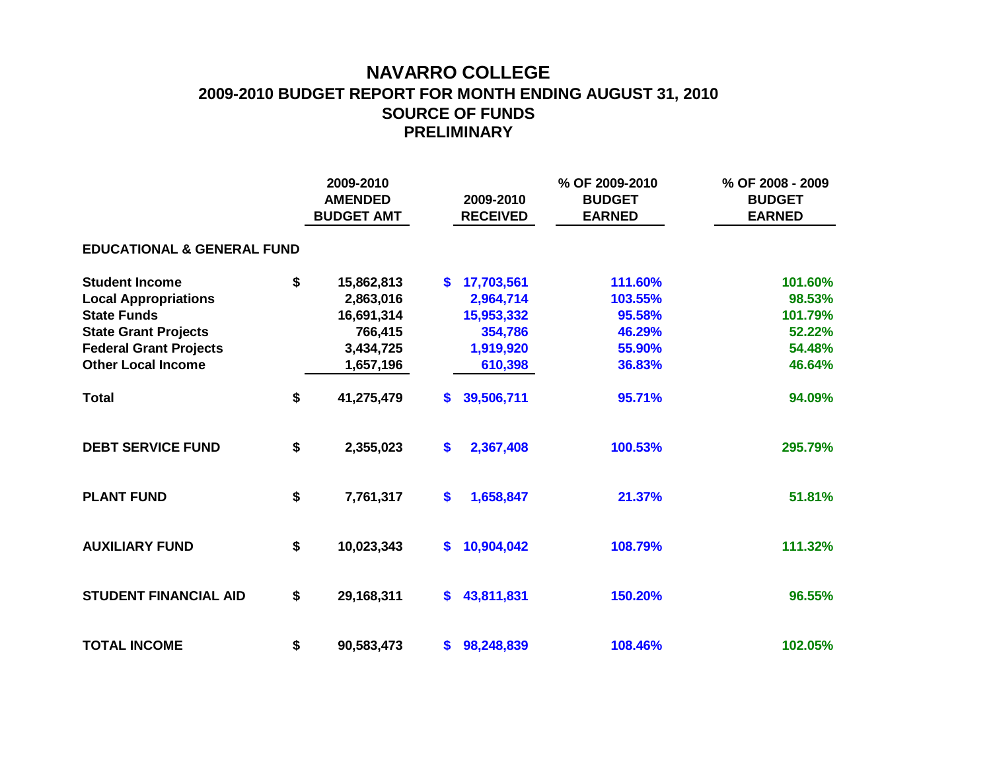## **NAVARRO COLLEGE 2009-2010 BUDGET REPORT FOR MONTH ENDING AUGUST 31, 2010 SOURCE OF FUNDS PRELIMINARY**

|                                       |    | 2009-2010<br><b>AMENDED</b><br><b>BUDGET AMT</b> |               | 2009-2010<br><b>RECEIVED</b> | % OF 2009-2010<br><b>BUDGET</b><br><b>EARNED</b> | % OF 2008 - 2009<br><b>BUDGET</b><br><b>EARNED</b> |  |  |  |  |  |  |  |  |
|---------------------------------------|----|--------------------------------------------------|---------------|------------------------------|--------------------------------------------------|----------------------------------------------------|--|--|--|--|--|--|--|--|
| <b>EDUCATIONAL &amp; GENERAL FUND</b> |    |                                                  |               |                              |                                                  |                                                    |  |  |  |  |  |  |  |  |
| <b>Student Income</b>                 | \$ | 15,862,813                                       | S.            | 17,703,561                   | 111.60%                                          | 101.60%                                            |  |  |  |  |  |  |  |  |
| <b>Local Appropriations</b>           |    | 2,863,016                                        |               | 2,964,714                    | 103.55%                                          | 98.53%                                             |  |  |  |  |  |  |  |  |
| <b>State Funds</b>                    |    | 16,691,314                                       |               | 15,953,332                   | 95.58%                                           | 101.79%                                            |  |  |  |  |  |  |  |  |
| <b>State Grant Projects</b>           |    | 766,415                                          |               | 354,786                      | 46.29%                                           | 52.22%                                             |  |  |  |  |  |  |  |  |
| <b>Federal Grant Projects</b>         |    | 3,434,725                                        |               | 1,919,920                    | 55.90%                                           | 54.48%                                             |  |  |  |  |  |  |  |  |
| <b>Other Local Income</b>             |    | 1,657,196                                        |               | 610,398                      | 36.83%                                           | 46.64%                                             |  |  |  |  |  |  |  |  |
| <b>Total</b>                          | \$ | 41,275,479                                       | $\mathbf{s}$  | 39,506,711                   | 95.71%                                           | 94.09%                                             |  |  |  |  |  |  |  |  |
| <b>DEBT SERVICE FUND</b>              | \$ | 2,355,023                                        | \$            | 2,367,408                    | 100.53%                                          | 295.79%                                            |  |  |  |  |  |  |  |  |
| <b>PLANT FUND</b>                     | \$ | 7,761,317                                        | $\mathbf{\$}$ | 1,658,847                    | 21.37%                                           | 51.81%                                             |  |  |  |  |  |  |  |  |
| <b>AUXILIARY FUND</b>                 | \$ | 10,023,343                                       | S.            | 10,904,042                   | 108.79%                                          | 111.32%                                            |  |  |  |  |  |  |  |  |
| <b>STUDENT FINANCIAL AID</b>          | \$ | 29,168,311                                       | \$            | 43,811,831                   | 150.20%                                          | 96.55%                                             |  |  |  |  |  |  |  |  |
| <b>TOTAL INCOME</b>                   | \$ | 90,583,473                                       | \$            | 98,248,839                   | 108.46%                                          | 102.05%                                            |  |  |  |  |  |  |  |  |